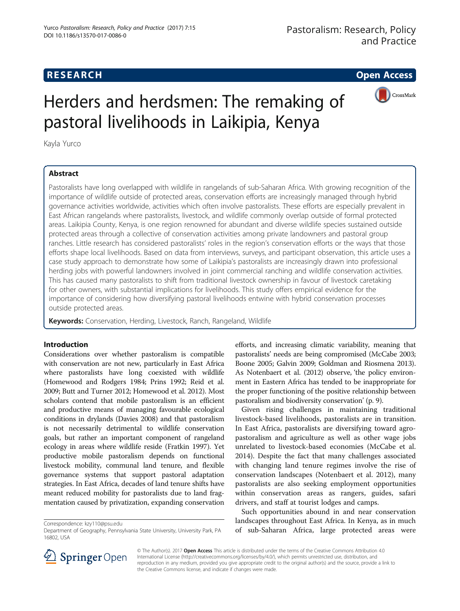

# Herders and herdsmen: The remaking of pastoral livelihoods in Laikipia, Kenya

Kayla Yurco

# Abstract

Pastoralists have long overlapped with wildlife in rangelands of sub-Saharan Africa. With growing recognition of the importance of wildlife outside of protected areas, conservation efforts are increasingly managed through hybrid governance activities worldwide, activities which often involve pastoralists. These efforts are especially prevalent in East African rangelands where pastoralists, livestock, and wildlife commonly overlap outside of formal protected areas. Laikipia County, Kenya, is one region renowned for abundant and diverse wildlife species sustained outside protected areas through a collective of conservation activities among private landowners and pastoral group ranches. Little research has considered pastoralists' roles in the region's conservation efforts or the ways that those efforts shape local livelihoods. Based on data from interviews, surveys, and participant observation, this article uses a case study approach to demonstrate how some of Laikipia's pastoralists are increasingly drawn into professional herding jobs with powerful landowners involved in joint commercial ranching and wildlife conservation activities. This has caused many pastoralists to shift from traditional livestock ownership in favour of livestock caretaking for other owners, with substantial implications for livelihoods. This study offers empirical evidence for the importance of considering how diversifying pastoral livelihoods entwine with hybrid conservation processes outside protected areas.

Keywords: Conservation, Herding, Livestock, Ranch, Rangeland, Wildlife

# Introduction

Considerations over whether pastoralism is compatible with conservation are not new, particularly in East Africa where pastoralists have long coexisted with wildlife (Homewood and Rodgers [1984;](#page-10-0) Prins [1992](#page-10-0); Reid et al. [2009;](#page-10-0) Butt and Turner [2012;](#page-9-0) Homewood et al. [2012](#page-10-0)). Most scholars contend that mobile pastoralism is an efficient and productive means of managing favourable ecological conditions in drylands (Davies [2008](#page-10-0)) and that pastoralism is not necessarily detrimental to wildlife conservation goals, but rather an important component of rangeland ecology in areas where wildlife reside (Fratkin [1997](#page-10-0)). Yet productive mobile pastoralism depends on functional livestock mobility, communal land tenure, and flexible governance systems that support pastoral adaptation strategies. In East Africa, decades of land tenure shifts have meant reduced mobility for pastoralists due to land fragmentation caused by privatization, expanding conservation

Correspondence: [kzy110@psu.edu](mailto:kzy110@psu.edu)

efforts, and increasing climatic variability, meaning that pastoralists' needs are being compromised (McCabe [2003](#page-10-0); Boone [2005;](#page-9-0) Galvin [2009](#page-10-0); Goldman and Riosmena [2013](#page-10-0)). As Notenbaert et al. ([2012\)](#page-10-0) observe, 'the policy environment in Eastern Africa has tended to be inappropriate for the proper functioning of the positive relationship between pastoralism and biodiversity conservation' (p. 9).

Given rising challenges in maintaining traditional livestock-based livelihoods, pastoralists are in transition. In East Africa, pastoralists are diversifying toward agropastoralism and agriculture as well as other wage jobs unrelated to livestock-based economies (McCabe et al. [2014](#page-10-0)). Despite the fact that many challenges associated with changing land tenure regimes involve the rise of conservation landscapes (Notenbaert et al. [2012\)](#page-10-0), many pastoralists are also seeking employment opportunities within conservation areas as rangers, guides, safari drivers, and staff at tourist lodges and camps.

Such opportunities abound in and near conservation landscapes throughout East Africa. In Kenya, as in much of sub-Saharan Africa, large protected areas were



© The Author(s). 2017 **Open Access** This article is distributed under the terms of the Creative Commons Attribution 4.0 International License ([http://creativecommons.org/licenses/by/4.0/\)](http://creativecommons.org/licenses/by/4.0/), which permits unrestricted use, distribution, and reproduction in any medium, provided you give appropriate credit to the original author(s) and the source, provide a link to the Creative Commons license, and indicate if changes were made.

Department of Geography, Pennsylvania State University, University Park, PA 16802, USA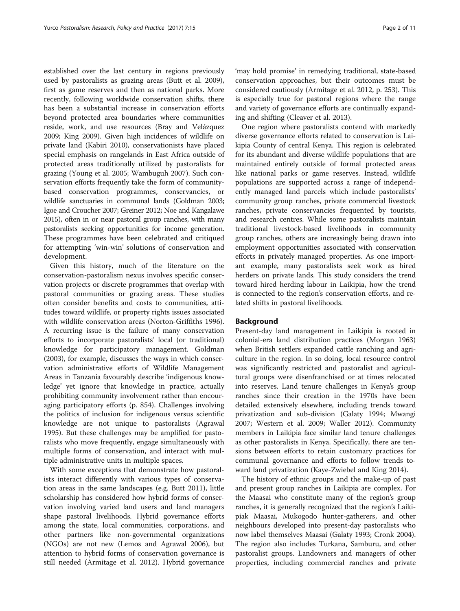established over the last century in regions previously used by pastoralists as grazing areas (Butt et al. [2009](#page-9-0)), first as game reserves and then as national parks. More recently, following worldwide conservation shifts, there has been a substantial increase in conservation efforts beyond protected area boundaries where communities reside, work, and use resources (Bray and Velázquez [2009](#page-9-0); King [2009](#page-10-0)). Given high incidences of wildlife on private land (Kabiri [2010](#page-10-0)), conservationists have placed special emphasis on rangelands in East Africa outside of protected areas traditionally utilized by pastoralists for grazing (Young et al. [2005;](#page-10-0) Wambuguh [2007\)](#page-10-0). Such conservation efforts frequently take the form of communitybased conservation programmes, conservancies, or wildlife sanctuaries in communal lands (Goldman [2003](#page-10-0); Igoe and Croucher [2007;](#page-10-0) Greiner [2012;](#page-10-0) Noe and Kangalawe [2015\)](#page-10-0), often in or near pastoral group ranches, with many pastoralists seeking opportunities for income generation. These programmes have been celebrated and critiqued for attempting 'win-win' solutions of conservation and development.

Given this history, much of the literature on the conservation-pastoralism nexus involves specific conservation projects or discrete programmes that overlap with pastoral communities or grazing areas. These studies often consider benefits and costs to communities, attitudes toward wildlife, or property rights issues associated with wildlife conservation areas (Norton-Griffiths [1996](#page-10-0)). A recurring issue is the failure of many conservation efforts to incorporate pastoralists' local (or traditional) knowledge for participatory management. Goldman ([2003](#page-10-0)), for example, discusses the ways in which conservation administrative efforts of Wildlife Management Areas in Tanzania favourably describe 'indigenous knowledge' yet ignore that knowledge in practice, actually prohibiting community involvement rather than encouraging participatory efforts (p. 854). Challenges involving the politics of inclusion for indigenous versus scientific knowledge are not unique to pastoralists (Agrawal [1995](#page-9-0)). But these challenges may be amplified for pastoralists who move frequently, engage simultaneously with multiple forms of conservation, and interact with multiple administrative units in multiple spaces.

With some exceptions that demonstrate how pastoralists interact differently with various types of conservation areas in the same landscapes (e.g. Butt [2011\)](#page-9-0), little scholarship has considered how hybrid forms of conservation involving varied land users and land managers shape pastoral livelihoods. Hybrid governance efforts among the state, local communities, corporations, and other partners like non-governmental organizations (NGOs) are not new (Lemos and Agrawal [2006](#page-10-0)), but attention to hybrid forms of conservation governance is still needed (Armitage et al. [2012](#page-9-0)). Hybrid governance 'may hold promise' in remedying traditional, state-based conservation approaches, but their outcomes must be considered cautiously (Armitage et al. [2012](#page-9-0), p. 253). This is especially true for pastoral regions where the range and variety of governance efforts are continually expanding and shifting (Cleaver et al. [2013](#page-10-0)).

One region where pastoralists contend with markedly diverse governance efforts related to conservation is Laikipia County of central Kenya. This region is celebrated for its abundant and diverse wildlife populations that are maintained entirely outside of formal protected areas like national parks or game reserves. Instead, wildlife populations are supported across a range of independently managed land parcels which include pastoralists' community group ranches, private commercial livestock ranches, private conservancies frequented by tourists, and research centres. While some pastoralists maintain traditional livestock-based livelihoods in community group ranches, others are increasingly being drawn into employment opportunities associated with conservation efforts in privately managed properties. As one important example, many pastoralists seek work as hired herders on private lands. This study considers the trend toward hired herding labour in Laikipia, how the trend is connected to the region's conservation efforts, and related shifts in pastoral livelihoods.

## Background

Present-day land management in Laikipia is rooted in colonial-era land distribution practices (Morgan [1963](#page-10-0)) when British settlers expanded cattle ranching and agriculture in the region. In so doing, local resource control was significantly restricted and pastoralist and agricultural groups were disenfranchised or at times relocated into reserves. Land tenure challenges in Kenya's group ranches since their creation in the 1970s have been detailed extensively elsewhere, including trends toward privatization and sub-division (Galaty [1994;](#page-10-0) Mwangi [2007](#page-10-0); Western et al. [2009;](#page-10-0) Waller [2012\)](#page-10-0). Community members in Laikipia face similar land tenure challenges as other pastoralists in Kenya. Specifically, there are tensions between efforts to retain customary practices for communal governance and efforts to follow trends toward land privatization (Kaye-Zwiebel and King [2014](#page-10-0)).

The history of ethnic groups and the make-up of past and present group ranches in Laikipia are complex. For the Maasai who constitute many of the region's group ranches, it is generally recognized that the region's Laikipiak Maasai, Mukogodo hunter-gatherers, and other neighbours developed into present-day pastoralists who now label themselves Maasai (Galaty [1993](#page-10-0); Cronk [2004](#page-10-0)). The region also includes Turkana, Samburu, and other pastoralist groups. Landowners and managers of other properties, including commercial ranches and private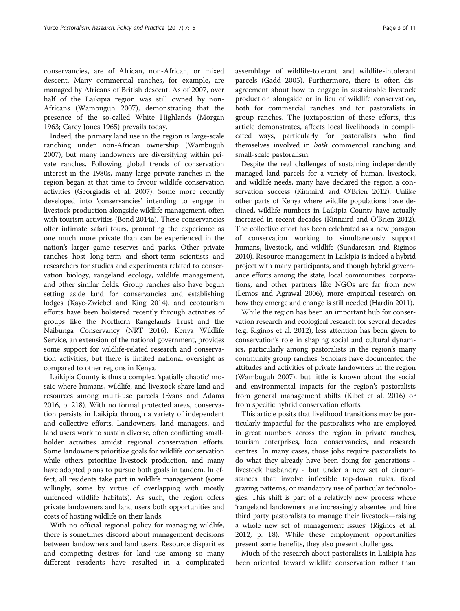conservancies, are of African, non-African, or mixed descent. Many commercial ranches, for example, are managed by Africans of British descent. As of 2007, over half of the Laikipia region was still owned by non-Africans (Wambuguh [2007\)](#page-10-0), demonstrating that the presence of the so-called White Highlands (Morgan [1963](#page-10-0); Carey Jones [1965](#page-9-0)) prevails today.

Indeed, the primary land use in the region is large-scale ranching under non-African ownership (Wambuguh [2007\)](#page-10-0), but many landowners are diversifying within private ranches. Following global trends of conservation interest in the 1980s, many large private ranches in the region began at that time to favour wildlife conservation activities (Georgiadis et al. [2007](#page-10-0)). Some more recently developed into 'conservancies' intending to engage in livestock production alongside wildlife management, often with tourism activities (Bond [2014a\)](#page-9-0). These conservancies offer intimate safari tours, promoting the experience as one much more private than can be experienced in the nation's larger game reserves and parks. Other private ranches host long-term and short-term scientists and researchers for studies and experiments related to conservation biology, rangeland ecology, wildlife management, and other similar fields. Group ranches also have begun setting aside land for conservancies and establishing lodges (Kaye-Zwiebel and King [2014](#page-10-0)), and ecotourism efforts have been bolstered recently through activities of groups like the Northern Rangelands Trust and the Naibunga Conservancy (NRT [2016\)](#page-10-0). Kenya Wildlife Service, an extension of the national government, provides some support for wildlife-related research and conservation activities, but there is limited national oversight as compared to other regions in Kenya.

Laikipia County is thus a complex, 'spatially chaotic' mosaic where humans, wildlife, and livestock share land and resources among multi-use parcels (Evans and Adams [2016,](#page-10-0) p. 218). With no formal protected areas, conservation persists in Laikipia through a variety of independent and collective efforts. Landowners, land managers, and land users work to sustain diverse, often conflicting smallholder activities amidst regional conservation efforts. Some landowners prioritize goals for wildlife conservation while others prioritize livestock production, and many have adopted plans to pursue both goals in tandem. In effect, all residents take part in wildlife management (some willingly, some by virtue of overlapping with mostly unfenced wildlife habitats). As such, the region offers private landowners and land users both opportunities and costs of hosting wildlife on their lands.

With no official regional policy for managing wildlife, there is sometimes discord about management decisions between landowners and land users. Resource disparities and competing desires for land use among so many different residents have resulted in a complicated

assemblage of wildlife-tolerant and wildlife-intolerant parcels (Gadd [2005\)](#page-10-0). Furthermore, there is often disagreement about how to engage in sustainable livestock production alongside or in lieu of wildlife conservation, both for commercial ranches and for pastoralists in group ranches. The juxtaposition of these efforts, this article demonstrates, affects local livelihoods in complicated ways, particularly for pastoralists who find themselves involved in both commercial ranching and small-scale pastoralism.

Despite the real challenges of sustaining independently managed land parcels for a variety of human, livestock, and wildlife needs, many have declared the region a conservation success (Kinnaird and O'Brien [2012](#page-10-0)). Unlike other parts of Kenya where wildlife populations have declined, wildlife numbers in Laikipia County have actually increased in recent decades (Kinnaird and O'Brien [2012](#page-10-0)). The collective effort has been celebrated as a new paragon of conservation working to simultaneously support humans, livestock, and wildlife (Sundaresan and Riginos [2010\)](#page-10-0). Resource management in Laikipia is indeed a hybrid project with many participants, and though hybrid governance efforts among the state, local communities, corporations, and other partners like NGOs are far from new (Lemos and Agrawal [2006](#page-10-0)), more empirical research on how they emerge and change is still needed (Hardin [2011](#page-10-0)).

While the region has been an important hub for conservation research and ecological research for several decades (e.g. Riginos et al. [2012](#page-10-0)), less attention has been given to conservation's role in shaping social and cultural dynamics, particularly among pastoralists in the region's many community group ranches. Scholars have documented the attitudes and activities of private landowners in the region (Wambuguh [2007](#page-10-0)), but little is known about the social and environmental impacts for the region's pastoralists from general management shifts (Kibet et al. [2016\)](#page-10-0) or from specific hybrid conservation efforts.

This article posits that livelihood transitions may be particularly impactful for the pastoralists who are employed in great numbers across the region in private ranches, tourism enterprises, local conservancies, and research centres. In many cases, those jobs require pastoralists to do what they already have been doing for generations livestock husbandry - but under a new set of circumstances that involve inflexible top-down rules, fixed grazing patterns, or mandatory use of particular technologies. This shift is part of a relatively new process where 'rangeland landowners are increasingly absentee and hire third party pastoralists to manage their livestock—raising a whole new set of management issues' (Riginos et al. [2012,](#page-10-0) p. 18). While these employment opportunities present some benefits, they also present challenges.

Much of the research about pastoralists in Laikipia has been oriented toward wildlife conservation rather than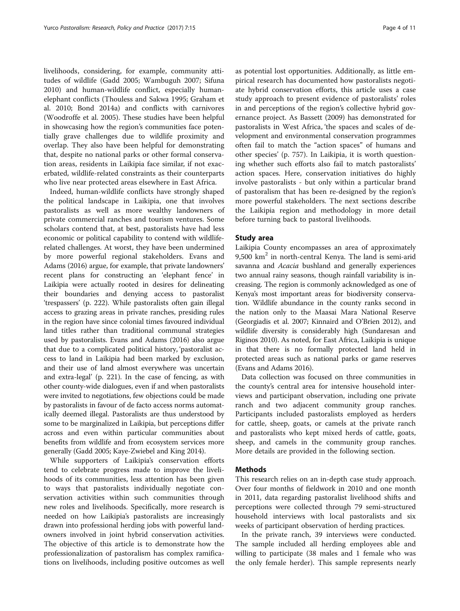livelihoods, considering, for example, community attitudes of wildlife (Gadd [2005](#page-10-0); Wambuguh [2007](#page-10-0); Sifuna [2010](#page-10-0)) and human-wildlife conflict, especially humanelephant conflicts (Thouless and Sakwa [1995](#page-10-0); Graham et al. [2010;](#page-10-0) Bond [2014a](#page-9-0)) and conflicts with carnivores (Woodroffe et al. [2005](#page-10-0)). These studies have been helpful in showcasing how the region's communities face potentially grave challenges due to wildlife proximity and overlap. They also have been helpful for demonstrating that, despite no national parks or other formal conservation areas, residents in Laikipia face similar, if not exacerbated, wildlife-related constraints as their counterparts who live near protected areas elsewhere in East Africa.

Indeed, human-wildlife conflicts have strongly shaped the political landscape in Laikipia, one that involves pastoralists as well as more wealthy landowners of private commercial ranches and tourism ventures. Some scholars contend that, at best, pastoralists have had less economic or political capability to contend with wildliferelated challenges. At worst, they have been undermined by more powerful regional stakeholders. Evans and Adams ([2016\)](#page-10-0) argue, for example, that private landowners' recent plans for constructing an 'elephant fence' in Laikipia were actually rooted in desires for delineating their boundaries and denying access to pastoralist 'trespassers' (p. 222). While pastoralists often gain illegal access to grazing areas in private ranches, presiding rules in the region have since colonial times favoured individual land titles rather than traditional communal strategies used by pastoralists. Evans and Adams ([2016](#page-10-0)) also argue that due to a complicated political history, 'pastoralist access to land in Laikipia had been marked by exclusion, and their use of land almost everywhere was uncertain and extra-legal' (p. 221). In the case of fencing, as with other county-wide dialogues, even if and when pastoralists were invited to negotiations, few objections could be made by pastoralists in favour of de facto access norms automatically deemed illegal. Pastoralists are thus understood by some to be marginalized in Laikipia, but perceptions differ across and even within particular communities about benefits from wildlife and from ecosystem services more generally (Gadd [2005;](#page-10-0) Kaye-Zwiebel and King [2014](#page-10-0)).

While supporters of Laikipia's conservation efforts tend to celebrate progress made to improve the livelihoods of its communities, less attention has been given to ways that pastoralists individually negotiate conservation activities within such communities through new roles and livelihoods. Specifically, more research is needed on how Laikipia's pastoralists are increasingly drawn into professional herding jobs with powerful landowners involved in joint hybrid conservation activities. The objective of this article is to demonstrate how the professionalization of pastoralism has complex ramifications on livelihoods, including positive outcomes as well as potential lost opportunities. Additionally, as little empirical research has documented how pastoralists negotiate hybrid conservation efforts, this article uses a case study approach to present evidence of pastoralists' roles in and perceptions of the region's collective hybrid governance project. As Bassett [\(2009\)](#page-9-0) has demonstrated for pastoralists in West Africa, 'the spaces and scales of development and environmental conservation programmes often fail to match the "action spaces" of humans and other species' (p. 757). In Laikipia, it is worth questioning whether such efforts also fail to match pastoralists' action spaces. Here, conservation initiatives do highly involve pastoralists - but only within a particular brand of pastoralism that has been re-designed by the region's more powerful stakeholders. The next sections describe the Laikipia region and methodology in more detail before turning back to pastoral livelihoods.

## Study area

Laikipia County encompasses an area of approximately 9,500  $km<sup>2</sup>$  in north-central Kenya. The land is semi-arid savanna and Acacia bushland and generally experiences two annual rainy seasons, though rainfall variability is increasing. The region is commonly acknowledged as one of Kenya's most important areas for biodiversity conservation. Wildlife abundance in the county ranks second in the nation only to the Maasai Mara National Reserve (Georgiadis et al. [2007](#page-10-0); Kinnaird and O'Brien [2012\)](#page-10-0), and wildlife diversity is considerably high (Sundaresan and Riginos [2010](#page-10-0)). As noted, for East Africa, Laikipia is unique in that there is no formally protected land held in protected areas such as national parks or game reserves (Evans and Adams [2016\)](#page-10-0).

Data collection was focused on three communities in the county's central area for intensive household interviews and participant observation, including one private ranch and two adjacent community group ranches. Participants included pastoralists employed as herders for cattle, sheep, goats, or camels at the private ranch and pastoralists who kept mixed herds of cattle, goats, sheep, and camels in the community group ranches. More details are provided in the following section.

## Methods

This research relies on an in-depth case study approach. Over four months of fieldwork in 2010 and one month in 2011, data regarding pastoralist livelihood shifts and perceptions were collected through 79 semi-structured household interviews with local pastoralists and six weeks of participant observation of herding practices.

In the private ranch, 39 interviews were conducted. The sample included all herding employees able and willing to participate (38 males and 1 female who was the only female herder). This sample represents nearly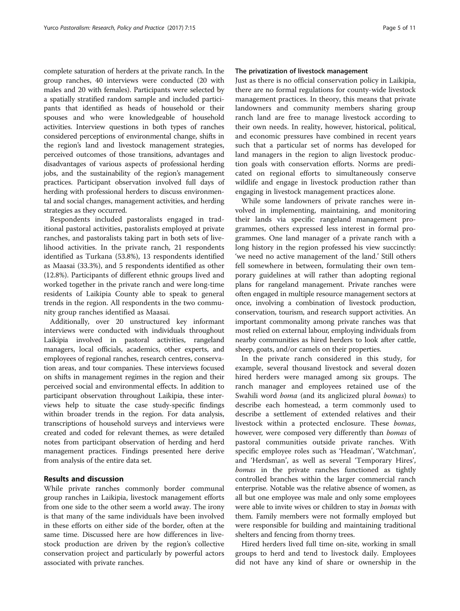complete saturation of herders at the private ranch. In the group ranches, 40 interviews were conducted (20 with males and 20 with females). Participants were selected by a spatially stratified random sample and included participants that identified as heads of household or their spouses and who were knowledgeable of household activities. Interview questions in both types of ranches considered perceptions of environmental change, shifts in the region's land and livestock management strategies, perceived outcomes of those transitions, advantages and disadvantages of various aspects of professional herding jobs, and the sustainability of the region's management practices. Participant observation involved full days of herding with professional herders to discuss environmental and social changes, management activities, and herding strategies as they occurred.

Respondents included pastoralists engaged in traditional pastoral activities, pastoralists employed at private ranches, and pastoralists taking part in both sets of livelihood activities. In the private ranch, 21 respondents identified as Turkana (53.8%), 13 respondents identified as Maasai (33.3%), and 5 respondents identified as other (12.8%). Participants of different ethnic groups lived and worked together in the private ranch and were long-time residents of Laikipia County able to speak to general trends in the region. All respondents in the two community group ranches identified as Maasai.

Additionally, over 20 unstructured key informant interviews were conducted with individuals throughout Laikipia involved in pastoral activities, rangeland managers, local officials, academics, other experts, and employees of regional ranches, research centres, conservation areas, and tour companies. These interviews focused on shifts in management regimes in the region and their perceived social and environmental effects. In addition to participant observation throughout Laikipia, these interviews help to situate the case study-specific findings within broader trends in the region. For data analysis, transcriptions of household surveys and interviews were created and coded for relevant themes, as were detailed notes from participant observation of herding and herd management practices. Findings presented here derive from analysis of the entire data set.

## Results and discussion

While private ranches commonly border communal group ranches in Laikipia, livestock management efforts from one side to the other seem a world away. The irony is that many of the same individuals have been involved in these efforts on either side of the border, often at the same time. Discussed here are how differences in livestock production are driven by the region's collective conservation project and particularly by powerful actors associated with private ranches.

#### The privatization of livestock management

Just as there is no official conservation policy in Laikipia, there are no formal regulations for county-wide livestock management practices. In theory, this means that private landowners and community members sharing group ranch land are free to manage livestock according to their own needs. In reality, however, historical, political, and economic pressures have combined in recent years such that a particular set of norms has developed for land managers in the region to align livestock production goals with conservation efforts. Norms are predicated on regional efforts to simultaneously conserve wildlife and engage in livestock production rather than engaging in livestock management practices alone.

While some landowners of private ranches were involved in implementing, maintaining, and monitoring their lands via specific rangeland management programmes, others expressed less interest in formal programmes. One land manager of a private ranch with a long history in the region professed his view succinctly: 'we need no active management of the land.' Still others fell somewhere in between, formulating their own temporary guidelines at will rather than adopting regional plans for rangeland management. Private ranches were often engaged in multiple resource management sectors at once, involving a combination of livestock production, conservation, tourism, and research support activities. An important commonality among private ranches was that most relied on external labour, employing individuals from nearby communities as hired herders to look after cattle, sheep, goats, and/or camels on their properties.

In the private ranch considered in this study, for example, several thousand livestock and several dozen hired herders were managed among six groups. The ranch manager and employees retained use of the Swahili word boma (and its anglicized plural bomas) to describe each homestead, a term commonly used to describe a settlement of extended relatives and their livestock within a protected enclosure. These bomas, however, were composed very differently than bomas of pastoral communities outside private ranches. With specific employee roles such as 'Headman', 'Watchman', and 'Herdsman', as well as several 'Temporary Hires', bomas in the private ranches functioned as tightly controlled branches within the larger commercial ranch enterprise. Notable was the relative absence of women, as all but one employee was male and only some employees were able to invite wives or children to stay in bomas with them. Family members were not formally employed but were responsible for building and maintaining traditional shelters and fencing from thorny trees.

Hired herders lived full time on-site, working in small groups to herd and tend to livestock daily. Employees did not have any kind of share or ownership in the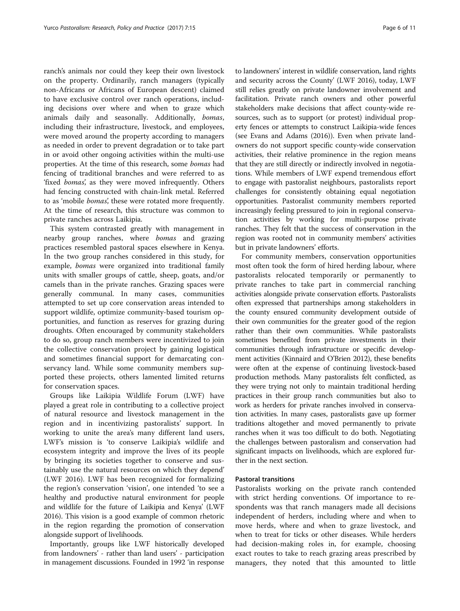ranch's animals nor could they keep their own livestock on the property. Ordinarily, ranch managers (typically non-Africans or Africans of European descent) claimed to have exclusive control over ranch operations, including decisions over where and when to graze which animals daily and seasonally. Additionally, bomas, including their infrastructure, livestock, and employees, were moved around the property according to managers as needed in order to prevent degradation or to take part in or avoid other ongoing activities within the multi-use properties. At the time of this research, some bomas had fencing of traditional branches and were referred to as 'fixed bomas', as they were moved infrequently. Others had fencing constructed with chain-link metal. Referred to as 'mobile bomas', these were rotated more frequently. At the time of research, this structure was common to private ranches across Laikipia.

This system contrasted greatly with management in nearby group ranches, where bomas and grazing practices resembled pastoral spaces elsewhere in Kenya. In the two group ranches considered in this study, for example, bomas were organized into traditional family units with smaller groups of cattle, sheep, goats, and/or camels than in the private ranches. Grazing spaces were generally communal. In many cases, communities attempted to set up core conservation areas intended to support wildlife, optimize community-based tourism opportunities, and function as reserves for grazing during droughts. Often encouraged by community stakeholders to do so, group ranch members were incentivized to join the collective conservation project by gaining logistical and sometimes financial support for demarcating conservancy land. While some community members supported these projects, others lamented limited returns for conservation spaces.

Groups like Laikipia Wildlife Forum (LWF) have played a great role in contributing to a collective project of natural resource and livestock management in the region and in incentivizing pastoralists' support. In working to unite the area's many different land users, LWF's mission is 'to conserve Laikipia's wildlife and ecosystem integrity and improve the lives of its people by bringing its societies together to conserve and sustainably use the natural resources on which they depend' (LWF [2016](#page-10-0)). LWF has been recognized for formalizing the region's conservation 'vision', one intended 'to see a healthy and productive natural environment for people and wildlife for the future of Laikipia and Kenya' (LWF [2016\)](#page-10-0). This vision is a good example of common rhetoric in the region regarding the promotion of conservation alongside support of livelihoods.

Importantly, groups like LWF historically developed from landowners' - rather than land users' - participation in management discussions. Founded in 1992 'in response

to landowners' interest in wildlife conservation, land rights and security across the County' (LWF [2016](#page-10-0)), today, LWF still relies greatly on private landowner involvement and facilitation. Private ranch owners and other powerful stakeholders make decisions that affect county-wide resources, such as to support (or protest) individual property fences or attempts to construct Laikipia-wide fences (see Evans and Adams ([2016\)](#page-10-0)). Even when private landowners do not support specific county-wide conservation activities, their relative prominence in the region means that they are still directly or indirectly involved in negotiations. While members of LWF expend tremendous effort to engage with pastoralist neighbours, pastoralists report challenges for consistently obtaining equal negotiation opportunities. Pastoralist community members reported increasingly feeling pressured to join in regional conservation activities by working for multi-purpose private ranches. They felt that the success of conservation in the region was rooted not in community members' activities but in private landowners' efforts.

For community members, conservation opportunities most often took the form of hired herding labour, where pastoralists relocated temporarily or permanently to private ranches to take part in commercial ranching activities alongside private conservation efforts. Pastoralists often expressed that partnerships among stakeholders in the county ensured community development outside of their own communities for the greater good of the region rather than their own communities. While pastoralists sometimes benefited from private investments in their communities through infrastructure or specific development activities (Kinnaird and O'Brien [2012](#page-10-0)), these benefits were often at the expense of continuing livestock-based production methods. Many pastoralists felt conflicted, as they were trying not only to maintain traditional herding practices in their group ranch communities but also to work as herders for private ranches involved in conservation activities. In many cases, pastoralists gave up former traditions altogether and moved permanently to private ranches when it was too difficult to do both. Negotiating the challenges between pastoralism and conservation had significant impacts on livelihoods, which are explored further in the next section.

#### Pastoral transitions

Pastoralists working on the private ranch contended with strict herding conventions. Of importance to respondents was that ranch managers made all decisions independent of herders, including where and when to move herds, where and when to graze livestock, and when to treat for ticks or other diseases. While herders had decision-making roles in, for example, choosing exact routes to take to reach grazing areas prescribed by managers, they noted that this amounted to little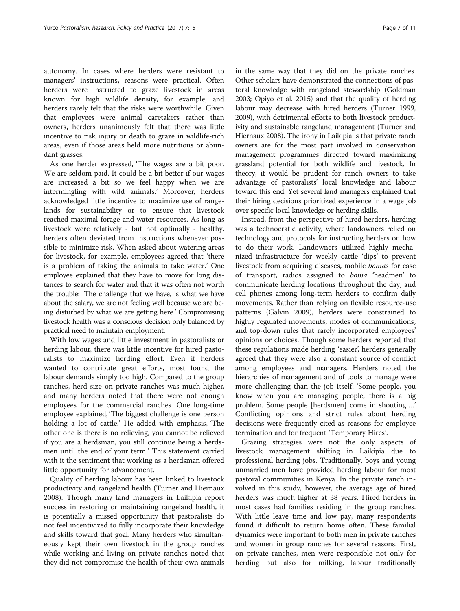autonomy. In cases where herders were resistant to managers' instructions, reasons were practical. Often herders were instructed to graze livestock in areas known for high wildlife density, for example, and herders rarely felt that the risks were worthwhile. Given that employees were animal caretakers rather than owners, herders unanimously felt that there was little incentive to risk injury or death to graze in wildlife-rich areas, even if those areas held more nutritious or abundant grasses.

As one herder expressed, 'The wages are a bit poor. We are seldom paid. It could be a bit better if our wages are increased a bit so we feel happy when we are intermingling with wild animals.' Moreover, herders acknowledged little incentive to maximize use of rangelands for sustainability or to ensure that livestock reached maximal forage and water resources. As long as livestock were relatively - but not optimally - healthy, herders often deviated from instructions whenever possible to minimize risk. When asked about watering areas for livestock, for example, employees agreed that 'there is a problem of taking the animals to take water.' One employee explained that they have to move for long distances to search for water and that it was often not worth the trouble: 'The challenge that we have, is what we have about the salary, we are not feeling well because we are being disturbed by what we are getting here.' Compromising livestock health was a conscious decision only balanced by practical need to maintain employment.

With low wages and little investment in pastoralists or herding labour, there was little incentive for hired pastoralists to maximize herding effort. Even if herders wanted to contribute great efforts, most found the labour demands simply too high. Compared to the group ranches, herd size on private ranches was much higher, and many herders noted that there were not enough employees for the commercial ranches. One long-time employee explained, 'The biggest challenge is one person holding a lot of cattle.' He added with emphasis, 'The other one is there is no relieving, you cannot be relieved if you are a herdsman, you still continue being a herdsmen until the end of your term.' This statement carried with it the sentiment that working as a herdsman offered little opportunity for advancement.

Quality of herding labour has been linked to livestock productivity and rangeland health (Turner and Hiernaux [2008](#page-10-0)). Though many land managers in Laikipia report success in restoring or maintaining rangeland health, it is potentially a missed opportunity that pastoralists do not feel incentivized to fully incorporate their knowledge and skills toward that goal. Many herders who simultaneously kept their own livestock in the group ranches while working and living on private ranches noted that they did not compromise the health of their own animals in the same way that they did on the private ranches. Other scholars have demonstrated the connections of pastoral knowledge with rangeland stewardship (Goldman [2003;](#page-10-0) Opiyo et al. [2015](#page-10-0)) and that the quality of herding labour may decrease with hired herders (Turner [1999](#page-10-0), [2009\)](#page-10-0), with detrimental effects to both livestock productivity and sustainable rangeland management (Turner and Hiernaux [2008](#page-10-0)). The irony in Laikipia is that private ranch owners are for the most part involved in conservation management programmes directed toward maximizing grassland potential for both wildlife and livestock. In theory, it would be prudent for ranch owners to take advantage of pastoralists' local knowledge and labour toward this end. Yet several land managers explained that their hiring decisions prioritized experience in a wage job

over specific local knowledge or herding skills. Instead, from the perspective of hired herders, herding was a technocratic activity, where landowners relied on technology and protocols for instructing herders on how to do their work. Landowners utilized highly mechanized infrastructure for weekly cattle 'dips' to prevent livestock from acquiring diseases, mobile bomas for ease of transport, radios assigned to boma 'headmen' to communicate herding locations throughout the day, and cell phones among long-term herders to confirm daily movements. Rather than relying on flexible resource-use patterns (Galvin [2009\)](#page-10-0), herders were constrained to highly regulated movements, modes of communications, and top-down rules that rarely incorporated employees' opinions or choices. Though some herders reported that these regulations made herding 'easier', herders generally agreed that they were also a constant source of conflict among employees and managers. Herders noted the hierarchies of management and of tools to manage were more challenging than the job itself: 'Some people, you know when you are managing people, there is a big problem. Some people [herdsmen] come in shouting….' Conflicting opinions and strict rules about herding decisions were frequently cited as reasons for employee termination and for frequent 'Temporary Hires'.

Grazing strategies were not the only aspects of livestock management shifting in Laikipia due to professional herding jobs. Traditionally, boys and young unmarried men have provided herding labour for most pastoral communities in Kenya. In the private ranch involved in this study, however, the average age of hired herders was much higher at 38 years. Hired herders in most cases had families residing in the group ranches. With little leave time and low pay, many respondents found it difficult to return home often. These familial dynamics were important to both men in private ranches and women in group ranches for several reasons. First, on private ranches, men were responsible not only for herding but also for milking, labour traditionally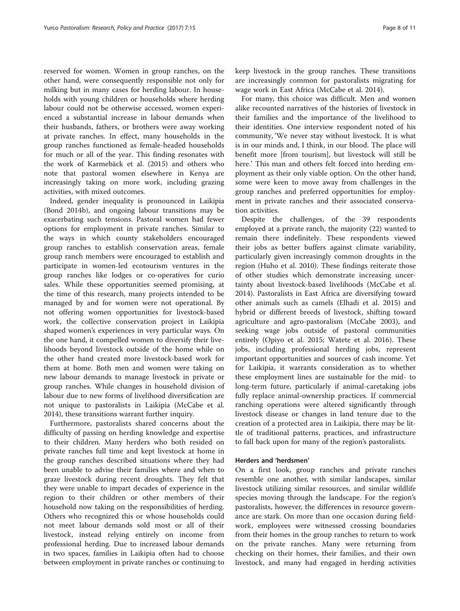reserved for women. Women in group ranches, on the other hand, were consequently responsible not only for milking but in many cases for herding labour. In households with young children or households where herding labour could not be otherwise accessed, women experienced a substantial increase in labour demands when their husbands, fathers, or brothers were away working at private ranches. In effect, many households in the group ranches functioned as female-headed households for much or all of the year. This finding resonates with the work of Karmebäck et al. ([2015](#page-10-0)) and others who note that pastoral women elsewhere in Kenya are increasingly taking on more work, including grazing activities, with mixed outcomes.

Indeed, gender inequality is pronounced in Laikipia (Bond [2014b](#page-9-0)), and ongoing labour transitions may be exacerbating such tensions. Pastoral women had fewer options for employment in private ranches. Similar to the ways in which county stakeholders encouraged group ranches to establish conservation areas, female group ranch members were encouraged to establish and participate in women-led ecotourism ventures in the group ranches like lodges or co-operatives for curio sales. While these opportunities seemed promising, at the time of this research, many projects intended to be managed by and for women were not operational. By not offering women opportunities for livestock-based work, the collective conservation project in Laikipia shaped women's experiences in very particular ways. On the one hand, it compelled women to diversify their livelihoods beyond livestock outside of the home while on the other hand created more livestock-based work for them at home. Both men and women were taking on new labour demands to manage livestock in private or group ranches. While changes in household division of labour due to new forms of livelihood diversification are not unique to pastoralists in Laikipia (McCabe et al. [2014](#page-10-0)), these transitions warrant further inquiry.

Furthermore, pastoralists shared concerns about the difficulty of passing on herding knowledge and expertise to their children. Many herders who both resided on private ranches full time and kept livestock at home in the group ranches described situations where they had been unable to advise their families where and when to graze livestock during recent droughts. They felt that they were unable to impart decades of experience in the region to their children or other members of their household now taking on the responsibilities of herding. Others who recognized this or whose households could not meet labour demands sold most or all of their livestock, instead relying entirely on income from professional herding. Due to increased labour demands in two spaces, families in Laikipia often had to choose between employment in private ranches or continuing to

keep livestock in the group ranches. These transitions are increasingly common for pastoralists migrating for wage work in East Africa (McCabe et al. [2014\)](#page-10-0).

For many, this choice was difficult. Men and women alike recounted narratives of the histories of livestock in their families and the importance of the livelihood to their identities. One interview respondent noted of his community, 'We never stay without livestock. It is what is in our minds and, I think, in our blood. The place will benefit more [from tourism], but livestock will still be here.' This man and others felt forced into herding employment as their only viable option. On the other hand, some were keen to move away from challenges in the group ranches and preferred opportunities for employment in private ranches and their associated conservation activities.

Despite the challenges, of the 39 respondents employed at a private ranch, the majority (22) wanted to remain there indefinitely. These respondents viewed their jobs as better buffers against climate variability, particularly given increasingly common droughts in the region (Huho et al. [2010](#page-10-0)). These findings reiterate those of other studies which demonstrate increasing uncertainty about livestock-based livelihoods (McCabe et al. [2014](#page-10-0)). Pastoralists in East Africa are diversifying toward other animals such as camels (Elhadi et al. [2015\)](#page-10-0) and hybrid or different breeds of livestock, shifting toward agriculture and agro-pastoralism (McCabe [2003](#page-10-0)), and seeking wage jobs outside of pastoral communities entirely (Opiyo et al. [2015](#page-10-0); Watete et al. [2016](#page-10-0)). These jobs, including professional herding jobs, represent important opportunities and sources of cash income. Yet for Laikipia, it warrants consideration as to whether these employment lines are sustainable for the mid- to long-term future, particularly if animal-caretaking jobs fully replace animal-ownership practices. If commercial ranching operations were altered significantly through livestock disease or changes in land tenure due to the creation of a protected area in Laikipia, there may be little of traditional patterns, practices, and infrastructure to fall back upon for many of the region's pastoralists.

#### Herders and 'herdsmen'

On a first look, group ranches and private ranches resemble one another, with similar landscapes, similar livestock utilizing similar resources, and similar wildlife species moving through the landscape. For the region's pastoralists, however, the differences in resource governance are stark. On more than one occasion during fieldwork, employees were witnessed crossing boundaries from their homes in the group ranches to return to work on the private ranches. Many were returning from checking on their homes, their families, and their own livestock, and many had engaged in herding activities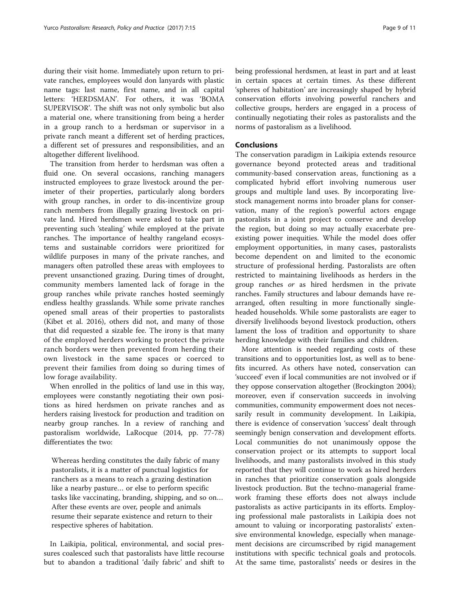during their visit home. Immediately upon return to private ranches, employees would don lanyards with plastic name tags: last name, first name, and in all capital letters: 'HERDSMAN'. For others, it was 'BOMA SUPERVISOR'. The shift was not only symbolic but also a material one, where transitioning from being a herder in a group ranch to a herdsman or supervisor in a private ranch meant a different set of herding practices, a different set of pressures and responsibilities, and an altogether different livelihood.

The transition from herder to herdsman was often a fluid one. On several occasions, ranching managers instructed employees to graze livestock around the perimeter of their properties, particularly along borders with group ranches, in order to dis-incentivize group ranch members from illegally grazing livestock on private land. Hired herdsmen were asked to take part in preventing such 'stealing' while employed at the private ranches. The importance of healthy rangeland ecosystems and sustainable corridors were prioritized for wildlife purposes in many of the private ranches, and managers often patrolled these areas with employees to prevent unsanctioned grazing. During times of drought, community members lamented lack of forage in the group ranches while private ranches hosted seemingly endless healthy grasslands. While some private ranches opened small areas of their properties to pastoralists (Kibet et al. [2016\)](#page-10-0), others did not, and many of those that did requested a sizable fee. The irony is that many of the employed herders working to protect the private ranch borders were then prevented from herding their own livestock in the same spaces or coerced to prevent their families from doing so during times of low forage availability.

When enrolled in the politics of land use in this way, employees were constantly negotiating their own positions as hired herdsmen on private ranches and as herders raising livestock for production and tradition on nearby group ranches. In a review of ranching and pastoralism worldwide, LaRocque ([2014](#page-10-0), pp. 77-78) differentiates the two:

Whereas herding constitutes the daily fabric of many pastoralists, it is a matter of punctual logistics for ranchers as a means to reach a grazing destination like a nearby pasture… or else to perform specific tasks like vaccinating, branding, shipping, and so on… After these events are over, people and animals resume their separate existence and return to their respective spheres of habitation.

In Laikipia, political, environmental, and social pressures coalesced such that pastoralists have little recourse but to abandon a traditional 'daily fabric' and shift to

being professional herdsmen, at least in part and at least in certain spaces at certain times. As these different 'spheres of habitation' are increasingly shaped by hybrid conservation efforts involving powerful ranchers and collective groups, herders are engaged in a process of continually negotiating their roles as pastoralists and the norms of pastoralism as a livelihood.

## Conclusions

The conservation paradigm in Laikipia extends resource governance beyond protected areas and traditional community-based conservation areas, functioning as a complicated hybrid effort involving numerous user groups and multiple land uses. By incorporating livestock management norms into broader plans for conservation, many of the region's powerful actors engage pastoralists in a joint project to conserve and develop the region, but doing so may actually exacerbate preexisting power inequities. While the model does offer employment opportunities, in many cases, pastoralists become dependent on and limited to the economic structure of professional herding. Pastoralists are often restricted to maintaining livelihoods as herders in the group ranches or as hired herdsmen in the private ranches. Family structures and labour demands have rearranged, often resulting in more functionally singleheaded households. While some pastoralists are eager to diversify livelihoods beyond livestock production, others lament the loss of tradition and opportunity to share herding knowledge with their families and children.

More attention is needed regarding costs of these transitions and to opportunities lost, as well as to benefits incurred. As others have noted, conservation can 'succeed' even if local communities are not involved or if they oppose conservation altogether (Brockington [2004](#page-9-0)); moreover, even if conservation succeeds in involving communities, community empowerment does not necessarily result in community development. In Laikipia, there is evidence of conservation 'success' dealt through seemingly benign conservation and development efforts. Local communities do not unanimously oppose the conservation project or its attempts to support local livelihoods, and many pastoralists involved in this study reported that they will continue to work as hired herders in ranches that prioritize conservation goals alongside livestock production. But the techno-managerial framework framing these efforts does not always include pastoralists as active participants in its efforts. Employing professional male pastoralists in Laikipia does not amount to valuing or incorporating pastoralists' extensive environmental knowledge, especially when management decisions are circumscribed by rigid management institutions with specific technical goals and protocols. At the same time, pastoralists' needs or desires in the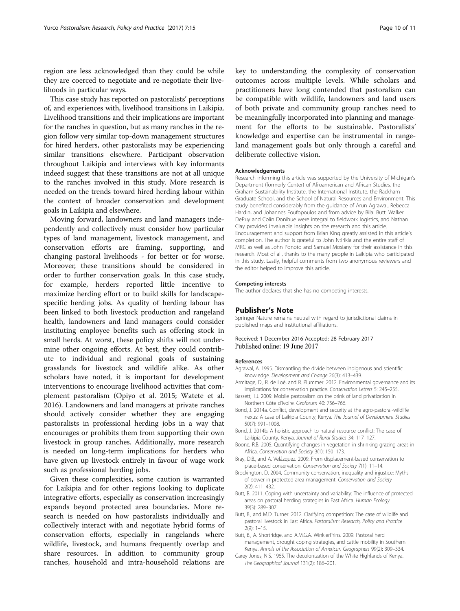<span id="page-9-0"></span>region are less acknowledged than they could be while they are coerced to negotiate and re-negotiate their livelihoods in particular ways.

This case study has reported on pastoralists' perceptions of, and experiences with, livelihood transitions in Laikipia. Livelihood transitions and their implications are important for the ranches in question, but as many ranches in the region follow very similar top-down management structures for hired herders, other pastoralists may be experiencing similar transitions elsewhere. Participant observation throughout Laikipia and interviews with key informants indeed suggest that these transitions are not at all unique to the ranches involved in this study. More research is needed on the trends toward hired herding labour within the context of broader conservation and development goals in Laikipia and elsewhere.

Moving forward, landowners and land managers independently and collectively must consider how particular types of land management, livestock management, and conservation efforts are framing, supporting, and changing pastoral livelihoods - for better or for worse. Moreover, these transitions should be considered in order to further conservation goals. In this case study, for example, herders reported little incentive to maximize herding effort or to build skills for landscapespecific herding jobs. As quality of herding labour has been linked to both livestock production and rangeland health, landowners and land managers could consider instituting employee benefits such as offering stock in small herds. At worst, these policy shifts will not undermine other ongoing efforts. At best, they could contribute to individual and regional goals of sustaining grasslands for livestock and wildlife alike. As other scholars have noted, it is important for development interventions to encourage livelihood activities that complement pastoralism (Opiyo et al. [2015;](#page-10-0) Watete et al. [2016](#page-10-0)). Landowners and land managers at private ranches should actively consider whether they are engaging pastoralists in professional herding jobs in a way that encourages or prohibits them from supporting their own livestock in group ranches. Additionally, more research is needed on long-term implications for herders who have given up livestock entirely in favour of wage work such as professional herding jobs.

Given these complexities, some caution is warranted for Laikipia and for other regions looking to duplicate integrative efforts, especially as conservation increasingly expands beyond protected area boundaries. More research is needed on how pastoralists individually and collectively interact with and negotiate hybrid forms of conservation efforts, especially in rangelands where wildlife, livestock, and humans frequently overlap and share resources. In addition to community group ranches, household and intra-household relations are

key to understanding the complexity of conservation outcomes across multiple levels. While scholars and practitioners have long contended that pastoralism can be compatible with wildlife, landowners and land users of both private and community group ranches need to be meaningfully incorporated into planning and management for the efforts to be sustainable. Pastoralists' knowledge and expertise can be instrumental in rangeland management goals but only through a careful and deliberate collective vision.

#### Acknowledgements

Research informing this article was supported by the University of Michigan's Department (formerly Center) of Afroamerican and African Studies, the Graham Sustainability Institute, the International Institute, the Rackham Graduate School, and the School of Natural Resources and Environment. This study benefited considerably from the guidance of Arun Agrawal, Rebecca Hardin, and Johannes Foufopoulos and from advice by Bilal Butt. Walker DePuy and Colin Donihue were integral to fieldwork logistics, and Nathan Clay provided invaluable insights on the research and this article. Encouragement and support from Brian King greatly assisted in this article's completion. The author is grateful to John Ntirikia and the entire staff of MRC as well as John Ponoto and Samuel Mosiany for their assistance in this research. Most of all, thanks to the many people in Laikipia who participated in this study. Lastly, helpful comments from two anonymous reviewers and the editor helped to improve this article.

#### Competing interests

The author declares that she has no competing interests.

#### Publisher's Note

Springer Nature remains neutral with regard to jurisdictional claims in published maps and institutional affiliations.

#### Received: 1 December 2016 Accepted: 28 February 2017 Published online: 19 June 2017

#### References

- Agrawal, A. 1995. Dismantling the divide between indigenous and scientific knowledge. Development and Change 26(3): 413–439.
- Armitage, D., R. de Loë, and R. Plummer. 2012. Environmental governance and its implications for conservation practice. Conservation Letters 5: 245–255.
- Bassett, T.J. 2009. Mobile pastoralism on the brink of land privatization in Northern Côte d'Ivoire. Geoforum 40: 756–766.
- Bond, J. 2014a. Conflict, development and security at the agro-pastoral-wildlife nexus: A case of Laikipia County, Kenya. The Journal of Development Studies 50(7): 991–1008.
- Bond, J. 2014b. A holistic approach to natural resource conflict: The case of Laikipia County, Kenya. Journal of Rural Studies 34: 117–127.
- Boone, R.B. 2005. Quantifying changes in vegetation in shrinking grazing areas in Africa. Conservation and Society 3(1): 150–173.
- Bray, D.B., and A. Velázquez. 2009. From displacement-based conservation to place-based conservation. Conservation and Society 7(1): 11–14.
- Brockington, D. 2004. Community conservation, inequality and injustice: Myths of power in protected area management. Conservation and Society 2(2): 411–432.
- Butt, B. 2011. Coping with uncertainty and variability: The influence of protected areas on pastoral herding strategies in East Africa. Human Ecology 39(3): 289–307.
- Butt, B., and M.D. Turner. 2012. Clarifying competition: The case of wildlife and pastoral livestock in East Africa. Pastoralism: Research, Policy and Practice 2(9): 1–15.
- Butt, B., A. Shortridge, and A.M.G.A. WinklerPrins. 2009. Pastoral herd management, drought coping strategies, and cattle mobility in Southern Kenya. Annals of the Association of American Geographers 99(2): 309–334.
- Carey Jones, N.S. 1965. The decolonization of the White Highlands of Kenya. The Geographical Journal 131(2): 186–201.